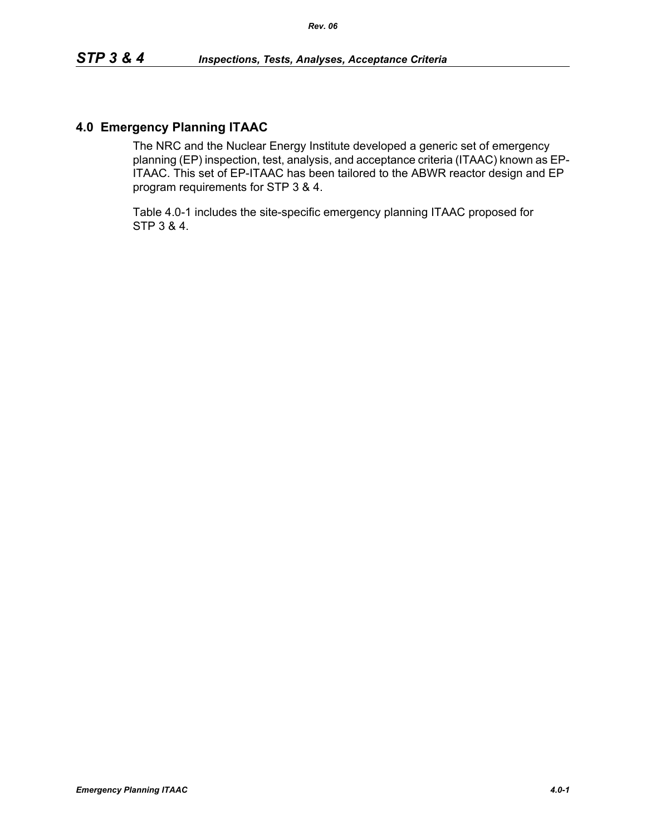### **4.0 Emergency Planning ITAAC**

The NRC and the Nuclear Energy Institute developed a generic set of emergency planning (EP) inspection, test, analysis, and acceptance criteria (ITAAC) known as EP-ITAAC. This set of EP-ITAAC has been tailored to the ABWR reactor design and EP program requirements for STP 3 & 4.

Table 4.0-1 includes the site-specific emergency planning ITAAC proposed for STP 3 & 4.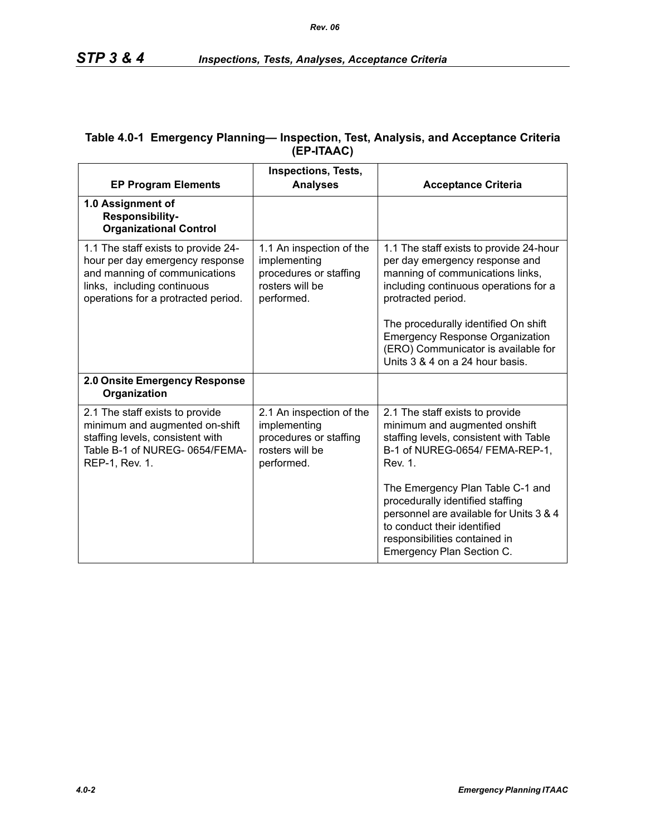| <b>EP Program Elements</b>                                                                                                                                                    | <b>Inspections, Tests,</b><br><b>Analyses</b>                                                       | <b>Acceptance Criteria</b>                                                                                                                                                                                                                                                                                                               |
|-------------------------------------------------------------------------------------------------------------------------------------------------------------------------------|-----------------------------------------------------------------------------------------------------|------------------------------------------------------------------------------------------------------------------------------------------------------------------------------------------------------------------------------------------------------------------------------------------------------------------------------------------|
| 1.0 Assignment of<br>Responsibility-<br><b>Organizational Control</b>                                                                                                         |                                                                                                     |                                                                                                                                                                                                                                                                                                                                          |
| 1.1 The staff exists to provide 24-<br>hour per day emergency response<br>and manning of communications<br>links, including continuous<br>operations for a protracted period. | 1.1 An inspection of the<br>implementing<br>procedures or staffing<br>rosters will be<br>performed. | 1.1 The staff exists to provide 24-hour<br>per day emergency response and<br>manning of communications links,<br>including continuous operations for a<br>protracted period.<br>The procedurally identified On shift<br><b>Emergency Response Organization</b><br>(ERO) Communicator is available for<br>Units 3 & 4 on a 24 hour basis. |
| 2.0 Onsite Emergency Response<br>Organization                                                                                                                                 |                                                                                                     |                                                                                                                                                                                                                                                                                                                                          |
| 2.1 The staff exists to provide<br>minimum and augmented on-shift<br>staffing levels, consistent with<br>Table B-1 of NUREG-0654/FEMA-<br>REP-1, Rev. 1.                      | 2.1 An inspection of the<br>implementing<br>procedures or staffing<br>rosters will be<br>performed. | 2.1 The staff exists to provide<br>minimum and augmented onshift<br>staffing levels, consistent with Table<br>B-1 of NUREG-0654/ FEMA-REP-1,<br>Rev. 1.                                                                                                                                                                                  |
|                                                                                                                                                                               |                                                                                                     | The Emergency Plan Table C-1 and<br>procedurally identified staffing<br>personnel are available for Units 3 & 4<br>to conduct their identified<br>responsibilities contained in<br>Emergency Plan Section C.                                                                                                                             |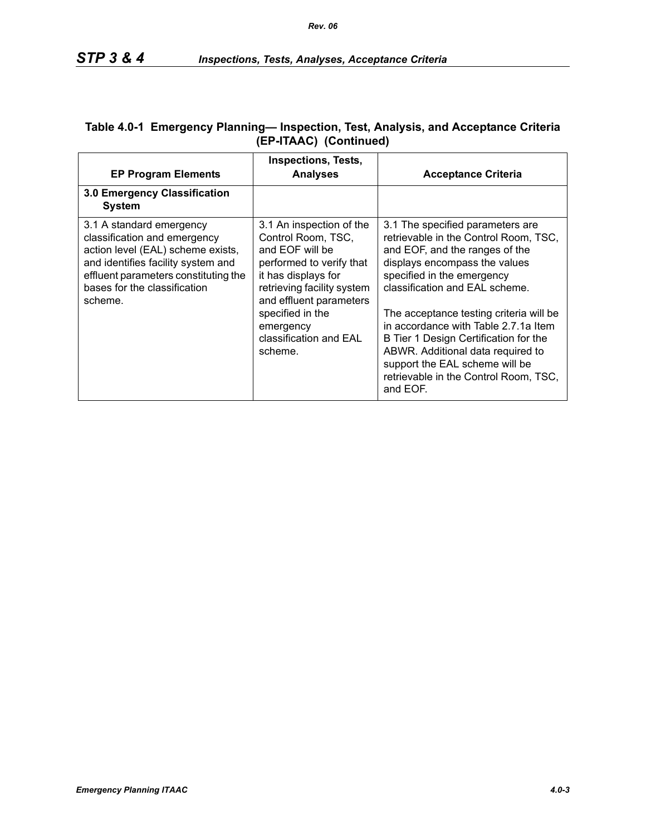| <b>EP Program Elements</b>                                                                                                                                                                                             | <b>Inspections, Tests,</b><br><b>Analyses</b>                                                                                                                                                                                                       | <b>Acceptance Criteria</b>                                                                                                                                                                                                                                                                                                                                                                                                                                           |
|------------------------------------------------------------------------------------------------------------------------------------------------------------------------------------------------------------------------|-----------------------------------------------------------------------------------------------------------------------------------------------------------------------------------------------------------------------------------------------------|----------------------------------------------------------------------------------------------------------------------------------------------------------------------------------------------------------------------------------------------------------------------------------------------------------------------------------------------------------------------------------------------------------------------------------------------------------------------|
| 3.0 Emergency Classification<br><b>System</b>                                                                                                                                                                          |                                                                                                                                                                                                                                                     |                                                                                                                                                                                                                                                                                                                                                                                                                                                                      |
| 3.1 A standard emergency<br>classification and emergency<br>action level (EAL) scheme exists,<br>and identifies facility system and<br>effluent parameters constituting the<br>bases for the classification<br>scheme. | 3.1 An inspection of the<br>Control Room, TSC,<br>and EOF will be<br>performed to verify that<br>it has displays for<br>retrieving facility system<br>and effluent parameters<br>specified in the<br>emergency<br>classification and EAL<br>scheme. | 3.1 The specified parameters are<br>retrievable in the Control Room, TSC,<br>and EOF, and the ranges of the<br>displays encompass the values<br>specified in the emergency<br>classification and EAL scheme.<br>The acceptance testing criteria will be<br>in accordance with Table 2.7.1a Item<br>B Tier 1 Design Certification for the<br>ABWR. Additional data required to<br>support the EAL scheme will be<br>retrievable in the Control Room, TSC,<br>and EOF. |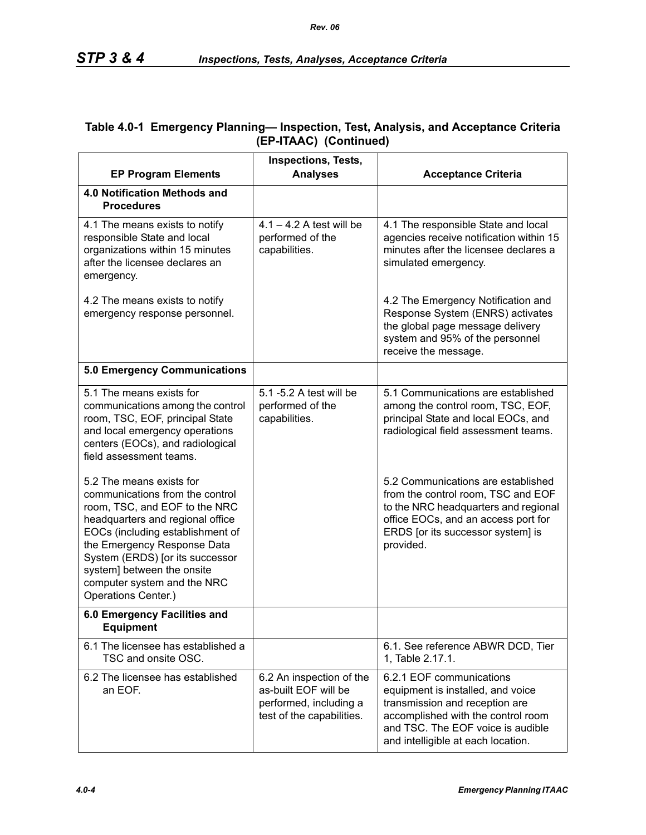|                                                                                                                                                                                                                                                                                                                            | Inspections, Tests,                                                                                     |                                                                                                                                                                                                                  |
|----------------------------------------------------------------------------------------------------------------------------------------------------------------------------------------------------------------------------------------------------------------------------------------------------------------------------|---------------------------------------------------------------------------------------------------------|------------------------------------------------------------------------------------------------------------------------------------------------------------------------------------------------------------------|
| <b>EP Program Elements</b>                                                                                                                                                                                                                                                                                                 | <b>Analyses</b>                                                                                         | <b>Acceptance Criteria</b>                                                                                                                                                                                       |
| 4.0 Notification Methods and<br><b>Procedures</b>                                                                                                                                                                                                                                                                          |                                                                                                         |                                                                                                                                                                                                                  |
| 4.1 The means exists to notify<br>responsible State and local<br>organizations within 15 minutes<br>after the licensee declares an<br>emergency.                                                                                                                                                                           | $4.1 - 4.2$ A test will be<br>performed of the<br>capabilities.                                         | 4.1 The responsible State and local<br>agencies receive notification within 15<br>minutes after the licensee declares a<br>simulated emergency.                                                                  |
| 4.2 The means exists to notify<br>emergency response personnel.                                                                                                                                                                                                                                                            |                                                                                                         | 4.2 The Emergency Notification and<br>Response System (ENRS) activates<br>the global page message delivery<br>system and 95% of the personnel<br>receive the message.                                            |
| <b>5.0 Emergency Communications</b>                                                                                                                                                                                                                                                                                        |                                                                                                         |                                                                                                                                                                                                                  |
| 5.1 The means exists for<br>communications among the control<br>room, TSC, EOF, principal State<br>and local emergency operations<br>centers (EOCs), and radiological<br>field assessment teams.                                                                                                                           | 5.1 -5.2 A test will be<br>performed of the<br>capabilities.                                            | 5.1 Communications are established<br>among the control room, TSC, EOF,<br>principal State and local EOCs, and<br>radiological field assessment teams.                                                           |
| 5.2 The means exists for<br>communications from the control<br>room, TSC, and EOF to the NRC<br>headquarters and regional office<br>EOCs (including establishment of<br>the Emergency Response Data<br>System (ERDS) [or its successor<br>system] between the onsite<br>computer system and the NRC<br>Operations Center.) |                                                                                                         | 5.2 Communications are established<br>from the control room, TSC and EOF<br>to the NRC headquarters and regional<br>office EOCs, and an access port for<br>ERDS [or its successor system] is<br>provided.        |
| 6.0 Emergency Facilities and<br><b>Equipment</b>                                                                                                                                                                                                                                                                           |                                                                                                         |                                                                                                                                                                                                                  |
| 6.1 The licensee has established a<br>TSC and onsite OSC.                                                                                                                                                                                                                                                                  |                                                                                                         | 6.1. See reference ABWR DCD, Tier<br>1, Table 2.17.1.                                                                                                                                                            |
| 6.2 The licensee has established<br>an EOF.                                                                                                                                                                                                                                                                                | 6.2 An inspection of the<br>as-built EOF will be<br>performed, including a<br>test of the capabilities. | 6.2.1 EOF communications<br>equipment is installed, and voice<br>transmission and reception are<br>accomplished with the control room<br>and TSC. The EOF voice is audible<br>and intelligible at each location. |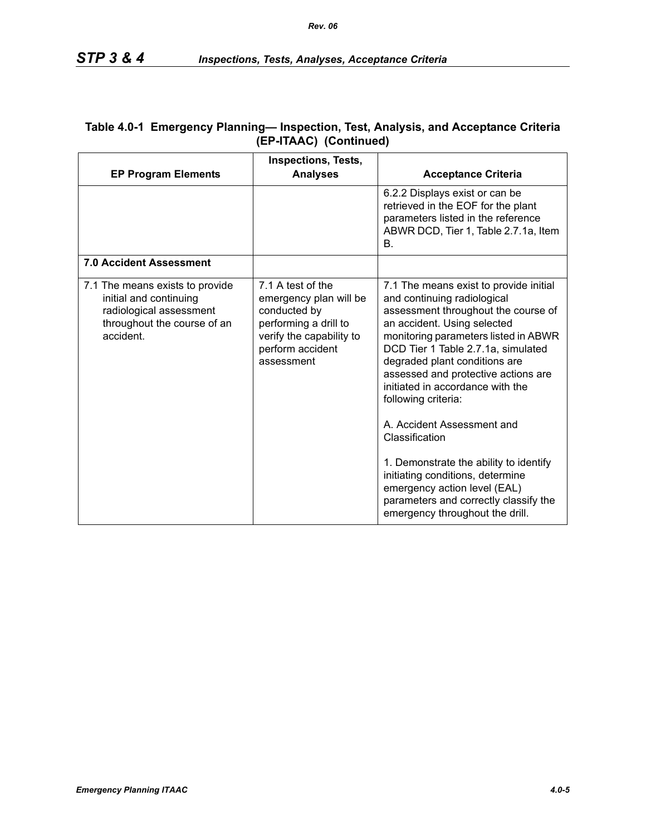| <b>EP Program Elements</b>                                                                                                       | <b>Inspections, Tests,</b><br><b>Analyses</b>                                                                                                      | <b>Acceptance Criteria</b>                                                                                                                                                                                                                                                                                                                                                                                                                                                                                                                                                                             |
|----------------------------------------------------------------------------------------------------------------------------------|----------------------------------------------------------------------------------------------------------------------------------------------------|--------------------------------------------------------------------------------------------------------------------------------------------------------------------------------------------------------------------------------------------------------------------------------------------------------------------------------------------------------------------------------------------------------------------------------------------------------------------------------------------------------------------------------------------------------------------------------------------------------|
|                                                                                                                                  |                                                                                                                                                    | 6.2.2 Displays exist or can be<br>retrieved in the EOF for the plant<br>parameters listed in the reference<br>ABWR DCD, Tier 1, Table 2.7.1a, Item<br>Β.                                                                                                                                                                                                                                                                                                                                                                                                                                               |
| <b>7.0 Accident Assessment</b>                                                                                                   |                                                                                                                                                    |                                                                                                                                                                                                                                                                                                                                                                                                                                                                                                                                                                                                        |
| 7.1 The means exists to provide<br>initial and continuing<br>radiological assessment<br>throughout the course of an<br>accident. | 7.1 A test of the<br>emergency plan will be<br>conducted by<br>performing a drill to<br>verify the capability to<br>perform accident<br>assessment | 7.1 The means exist to provide initial<br>and continuing radiological<br>assessment throughout the course of<br>an accident. Using selected<br>monitoring parameters listed in ABWR<br>DCD Tier 1 Table 2.7.1a, simulated<br>degraded plant conditions are<br>assessed and protective actions are<br>initiated in accordance with the<br>following criteria:<br>A. Accident Assessment and<br>Classification<br>1. Demonstrate the ability to identify<br>initiating conditions, determine<br>emergency action level (EAL)<br>parameters and correctly classify the<br>emergency throughout the drill. |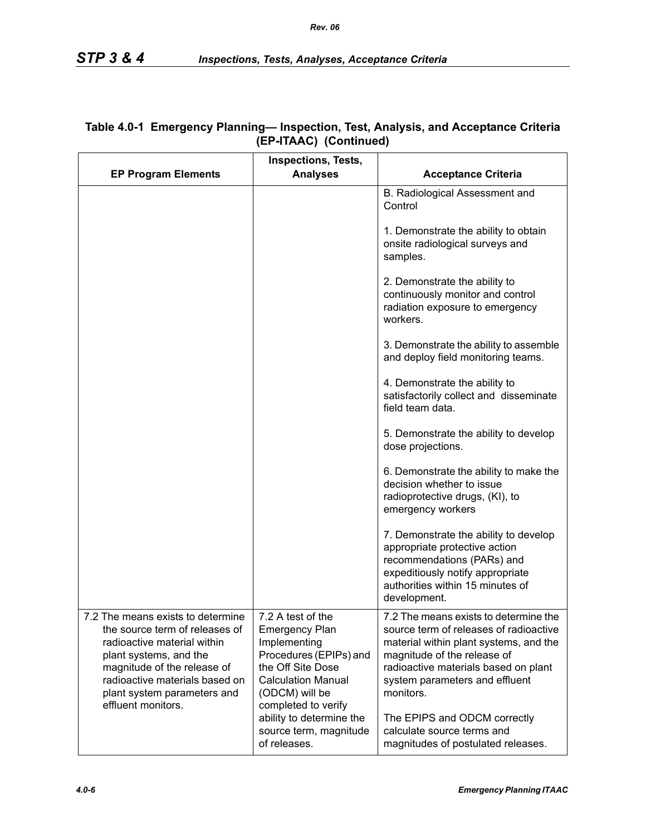|                                                                                                                                                                                                                                                    | <b>Inspections, Tests,</b>                                                                                                                               |                                                                                                                                                                                                                                                 |
|----------------------------------------------------------------------------------------------------------------------------------------------------------------------------------------------------------------------------------------------------|----------------------------------------------------------------------------------------------------------------------------------------------------------|-------------------------------------------------------------------------------------------------------------------------------------------------------------------------------------------------------------------------------------------------|
| <b>EP Program Elements</b>                                                                                                                                                                                                                         | <b>Analyses</b>                                                                                                                                          | <b>Acceptance Criteria</b>                                                                                                                                                                                                                      |
|                                                                                                                                                                                                                                                    |                                                                                                                                                          | B. Radiological Assessment and<br>Control                                                                                                                                                                                                       |
|                                                                                                                                                                                                                                                    |                                                                                                                                                          | 1. Demonstrate the ability to obtain<br>onsite radiological surveys and<br>samples.                                                                                                                                                             |
|                                                                                                                                                                                                                                                    |                                                                                                                                                          | 2. Demonstrate the ability to<br>continuously monitor and control<br>radiation exposure to emergency<br>workers.                                                                                                                                |
|                                                                                                                                                                                                                                                    |                                                                                                                                                          | 3. Demonstrate the ability to assemble<br>and deploy field monitoring teams.                                                                                                                                                                    |
|                                                                                                                                                                                                                                                    |                                                                                                                                                          | 4. Demonstrate the ability to<br>satisfactorily collect and disseminate<br>field team data.                                                                                                                                                     |
|                                                                                                                                                                                                                                                    |                                                                                                                                                          | 5. Demonstrate the ability to develop<br>dose projections.                                                                                                                                                                                      |
|                                                                                                                                                                                                                                                    |                                                                                                                                                          | 6. Demonstrate the ability to make the<br>decision whether to issue<br>radioprotective drugs, (KI), to<br>emergency workers                                                                                                                     |
|                                                                                                                                                                                                                                                    |                                                                                                                                                          | 7. Demonstrate the ability to develop<br>appropriate protective action<br>recommendations (PARs) and<br>expeditiously notify appropriate<br>authorities within 15 minutes of<br>development.                                                    |
| 7.2 The means exists to determine<br>the source term of releases of<br>radioactive material within<br>plant systems, and the<br>magnitude of the release of<br>radioactive materials based on<br>plant system parameters and<br>effluent monitors. | 7.2 A test of the<br><b>Emergency Plan</b><br>Implementing<br>Procedures (EPIPs) and<br>the Off Site Dose<br><b>Calculation Manual</b><br>(ODCM) will be | 7.2 The means exists to determine the<br>source term of releases of radioactive<br>material within plant systems, and the<br>magnitude of the release of<br>radioactive materials based on plant<br>system parameters and effluent<br>monitors. |
|                                                                                                                                                                                                                                                    | completed to verify<br>ability to determine the<br>source term, magnitude<br>of releases.                                                                | The EPIPS and ODCM correctly<br>calculate source terms and<br>magnitudes of postulated releases.                                                                                                                                                |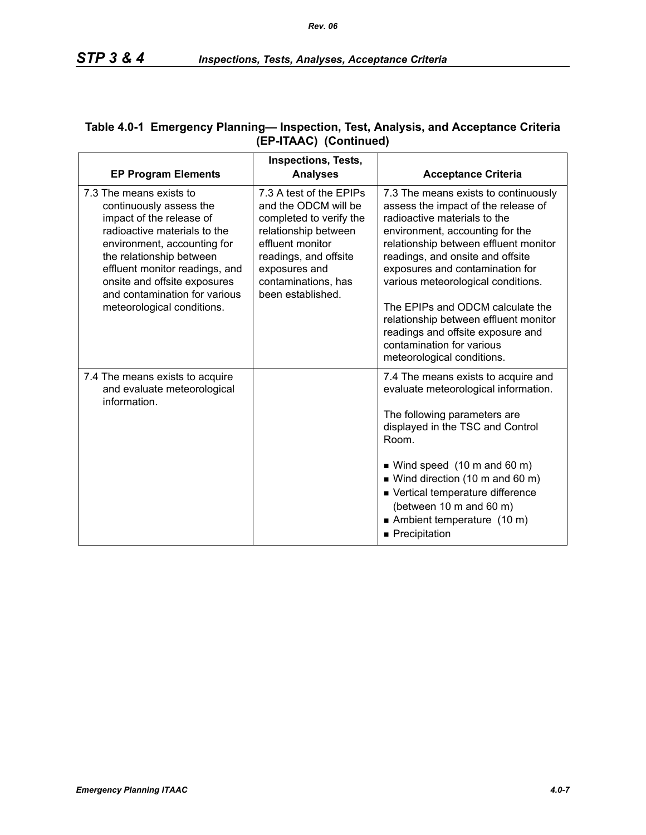| <b>EP Program Elements</b>                                                                                                                                                                                                                                                                                 | <b>Inspections, Tests,</b><br><b>Analyses</b>                                                                                                                                                                | <b>Acceptance Criteria</b>                                                                                                                                                                                                                                                                                                                                                                                                                                                        |
|------------------------------------------------------------------------------------------------------------------------------------------------------------------------------------------------------------------------------------------------------------------------------------------------------------|--------------------------------------------------------------------------------------------------------------------------------------------------------------------------------------------------------------|-----------------------------------------------------------------------------------------------------------------------------------------------------------------------------------------------------------------------------------------------------------------------------------------------------------------------------------------------------------------------------------------------------------------------------------------------------------------------------------|
| 7.3 The means exists to<br>continuously assess the<br>impact of the release of<br>radioactive materials to the<br>environment, accounting for<br>the relationship between<br>effluent monitor readings, and<br>onsite and offsite exposures<br>and contamination for various<br>meteorological conditions. | 7.3 A test of the EPIPs<br>and the ODCM will be<br>completed to verify the<br>relationship between<br>effluent monitor<br>readings, and offsite<br>exposures and<br>contaminations, has<br>been established. | 7.3 The means exists to continuously<br>assess the impact of the release of<br>radioactive materials to the<br>environment, accounting for the<br>relationship between effluent monitor<br>readings, and onsite and offsite<br>exposures and contamination for<br>various meteorological conditions.<br>The EPIPs and ODCM calculate the<br>relationship between effluent monitor<br>readings and offsite exposure and<br>contamination for various<br>meteorological conditions. |
| 7.4 The means exists to acquire<br>and evaluate meteorological<br>information.                                                                                                                                                                                                                             |                                                                                                                                                                                                              | 7.4 The means exists to acquire and<br>evaluate meteorological information.<br>The following parameters are<br>displayed in the TSC and Control<br>Room.<br>$\blacksquare$ Wind speed (10 m and 60 m)<br>■ Wind direction (10 m and 60 m)<br>■ Vertical temperature difference<br>(between 10 m and 60 m)<br>Ambient temperature (10 m)<br>■ Precipitation                                                                                                                        |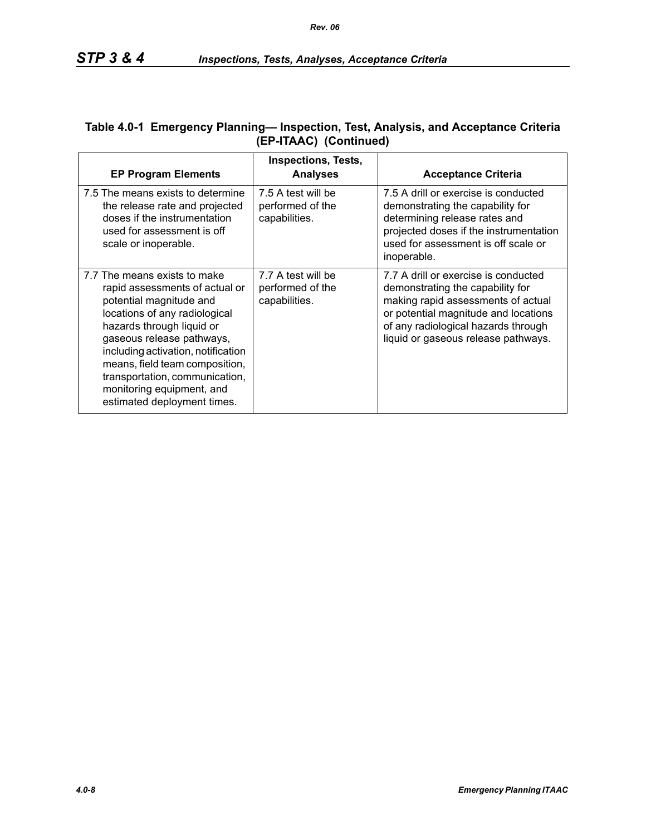| <b>EP Program Elements</b>                                                                                                                                                                                                                                                                                                                                 | <b>Inspections, Tests,</b><br><b>Analyses</b>           | <b>Acceptance Criteria</b>                                                                                                                                                                                                           |
|------------------------------------------------------------------------------------------------------------------------------------------------------------------------------------------------------------------------------------------------------------------------------------------------------------------------------------------------------------|---------------------------------------------------------|--------------------------------------------------------------------------------------------------------------------------------------------------------------------------------------------------------------------------------------|
| 7.5 The means exists to determine<br>the release rate and projected<br>doses if the instrumentation<br>used for assessment is off<br>scale or inoperable.                                                                                                                                                                                                  | 7.5 A test will be<br>performed of the<br>capabilities. | 7.5 A drill or exercise is conducted<br>demonstrating the capability for<br>determining release rates and<br>projected doses if the instrumentation<br>used for assessment is off scale or<br>inoperable.                            |
| 7.7 The means exists to make<br>rapid assessments of actual or<br>potential magnitude and<br>locations of any radiological<br>hazards through liquid or<br>gaseous release pathways,<br>including activation, notification<br>means, field team composition,<br>transportation, communication,<br>monitoring equipment, and<br>estimated deployment times. | 7.7 A test will be<br>performed of the<br>capabilities. | 7.7 A drill or exercise is conducted<br>demonstrating the capability for<br>making rapid assessments of actual<br>or potential magnitude and locations<br>of any radiological hazards through<br>liquid or gaseous release pathways. |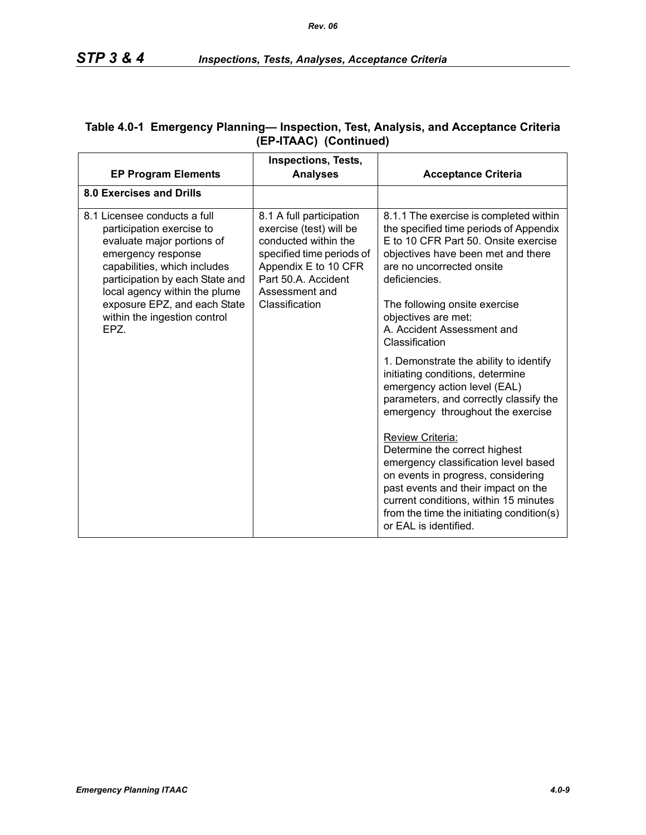| <b>EP Program Elements</b>                                                                                                                                                                                                                                                        | <b>Inspections, Tests,</b><br><b>Analyses</b>                                                                                                                                               | <b>Acceptance Criteria</b>                                                                                                                                                                                                                                                            |
|-----------------------------------------------------------------------------------------------------------------------------------------------------------------------------------------------------------------------------------------------------------------------------------|---------------------------------------------------------------------------------------------------------------------------------------------------------------------------------------------|---------------------------------------------------------------------------------------------------------------------------------------------------------------------------------------------------------------------------------------------------------------------------------------|
| 8.0 Exercises and Drills                                                                                                                                                                                                                                                          |                                                                                                                                                                                             |                                                                                                                                                                                                                                                                                       |
| 8.1 Licensee conducts a full<br>participation exercise to<br>evaluate major portions of<br>emergency response<br>capabilities, which includes<br>participation by each State and<br>local agency within the plume<br>exposure EPZ, and each State<br>within the ingestion control | 8.1 A full participation<br>exercise (test) will be<br>conducted within the<br>specified time periods of<br>Appendix E to 10 CFR<br>Part 50.A. Accident<br>Assessment and<br>Classification | 8.1.1 The exercise is completed within<br>the specified time periods of Appendix<br>E to 10 CFR Part 50. Onsite exercise<br>objectives have been met and there<br>are no uncorrected onsite<br>deficiencies.<br>The following onsite exercise<br>objectives are met:                  |
| EPZ.                                                                                                                                                                                                                                                                              |                                                                                                                                                                                             | A. Accident Assessment and<br>Classification                                                                                                                                                                                                                                          |
|                                                                                                                                                                                                                                                                                   |                                                                                                                                                                                             | 1. Demonstrate the ability to identify<br>initiating conditions, determine<br>emergency action level (EAL)<br>parameters, and correctly classify the<br>emergency throughout the exercise                                                                                             |
|                                                                                                                                                                                                                                                                                   |                                                                                                                                                                                             | Review Criteria:<br>Determine the correct highest<br>emergency classification level based<br>on events in progress, considering<br>past events and their impact on the<br>current conditions, within 15 minutes<br>from the time the initiating condition(s)<br>or EAL is identified. |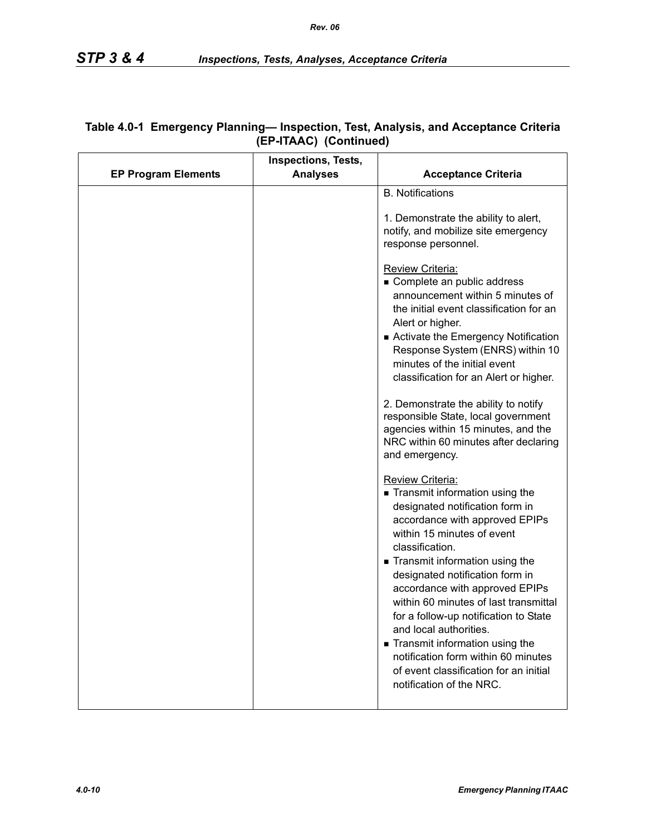|                            | <b>Inspections, Tests,</b> |                                                                                                                                                                                                                                                                                                                                                                                                                                                                                                                                                                                                                                                                                                                                                                                                                                                                                                                                                                                                                                                                                                                                                   |
|----------------------------|----------------------------|---------------------------------------------------------------------------------------------------------------------------------------------------------------------------------------------------------------------------------------------------------------------------------------------------------------------------------------------------------------------------------------------------------------------------------------------------------------------------------------------------------------------------------------------------------------------------------------------------------------------------------------------------------------------------------------------------------------------------------------------------------------------------------------------------------------------------------------------------------------------------------------------------------------------------------------------------------------------------------------------------------------------------------------------------------------------------------------------------------------------------------------------------|
| <b>EP Program Elements</b> | <b>Analyses</b>            | <b>Acceptance Criteria</b>                                                                                                                                                                                                                                                                                                                                                                                                                                                                                                                                                                                                                                                                                                                                                                                                                                                                                                                                                                                                                                                                                                                        |
|                            |                            | <b>B.</b> Notifications<br>1. Demonstrate the ability to alert,<br>notify, and mobilize site emergency<br>response personnel.<br>Review Criteria:<br>Complete an public address<br>announcement within 5 minutes of<br>the initial event classification for an<br>Alert or higher.<br>Activate the Emergency Notification<br>Response System (ENRS) within 10<br>minutes of the initial event<br>classification for an Alert or higher.<br>2. Demonstrate the ability to notify<br>responsible State, local government<br>agencies within 15 minutes, and the<br>NRC within 60 minutes after declaring<br>and emergency.<br><b>Review Criteria:</b><br>Transmit information using the<br>designated notification form in<br>accordance with approved EPIPs<br>within 15 minutes of event<br>classification.<br>Transmit information using the<br>designated notification form in<br>accordance with approved EPIPs<br>within 60 minutes of last transmittal<br>for a follow-up notification to State<br>and local authorities.<br>Transmit information using the<br>notification form within 60 minutes<br>of event classification for an initial |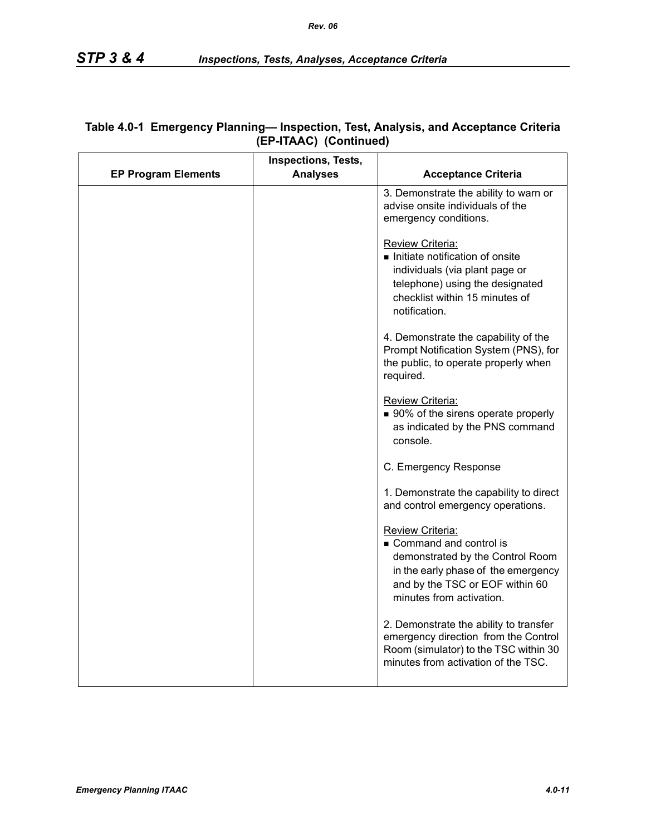|                            | Inspections, Tests, |                                                                                                                                                                                      |
|----------------------------|---------------------|--------------------------------------------------------------------------------------------------------------------------------------------------------------------------------------|
| <b>EP Program Elements</b> | <b>Analyses</b>     | <b>Acceptance Criteria</b>                                                                                                                                                           |
|                            |                     | 3. Demonstrate the ability to warn or<br>advise onsite individuals of the<br>emergency conditions.                                                                                   |
|                            |                     | Review Criteria:<br>Initiate notification of onsite<br>individuals (via plant page or<br>telephone) using the designated<br>checklist within 15 minutes of<br>notification.          |
|                            |                     | 4. Demonstrate the capability of the<br>Prompt Notification System (PNS), for<br>the public, to operate properly when<br>required.                                                   |
|                            |                     | Review Criteria:<br>■ 90% of the sirens operate properly<br>as indicated by the PNS command<br>console.                                                                              |
|                            |                     | C. Emergency Response                                                                                                                                                                |
|                            |                     | 1. Demonstrate the capability to direct<br>and control emergency operations.                                                                                                         |
|                            |                     | Review Criteria:<br>Command and control is<br>demonstrated by the Control Room<br>in the early phase of the emergency<br>and by the TSC or EOF within 60<br>minutes from activation. |
|                            |                     | 2. Demonstrate the ability to transfer<br>emergency direction from the Control<br>Room (simulator) to the TSC within 30<br>minutes from activation of the TSC.                       |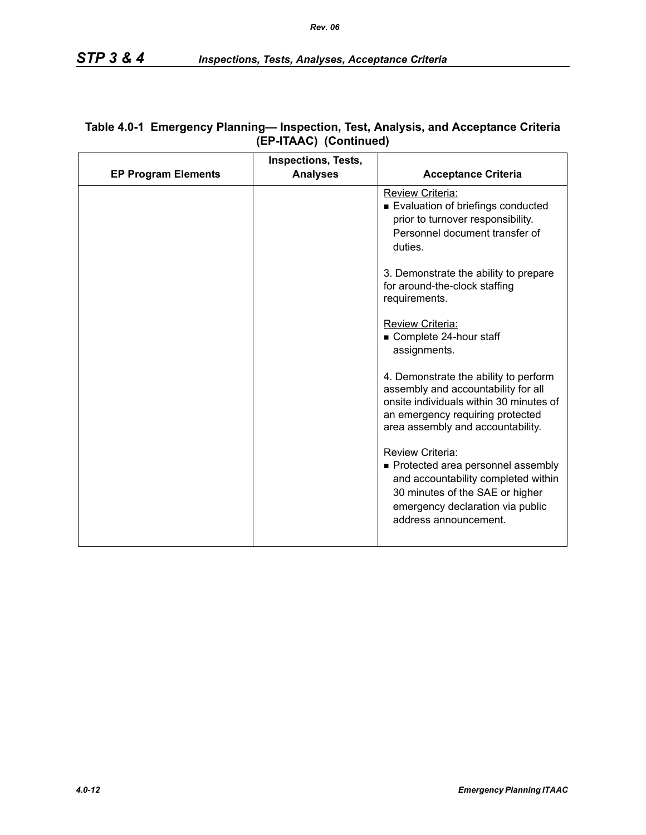|                            | <b>Inspections, Tests,</b> |                                                                                                                                                                                                  |
|----------------------------|----------------------------|--------------------------------------------------------------------------------------------------------------------------------------------------------------------------------------------------|
| <b>EP Program Elements</b> | <b>Analyses</b>            | <b>Acceptance Criteria</b>                                                                                                                                                                       |
|                            |                            | Review Criteria:<br>Evaluation of briefings conducted<br>prior to turnover responsibility.<br>Personnel document transfer of<br>duties.                                                          |
|                            |                            | 3. Demonstrate the ability to prepare<br>for around-the-clock staffing<br>requirements.                                                                                                          |
|                            |                            | Review Criteria:<br>Complete 24-hour staff<br>assignments.                                                                                                                                       |
|                            |                            | 4. Demonstrate the ability to perform<br>assembly and accountability for all<br>onsite individuals within 30 minutes of<br>an emergency requiring protected<br>area assembly and accountability. |
|                            |                            | Review Criteria:<br>• Protected area personnel assembly<br>and accountability completed within<br>30 minutes of the SAE or higher<br>emergency declaration via public<br>address announcement.   |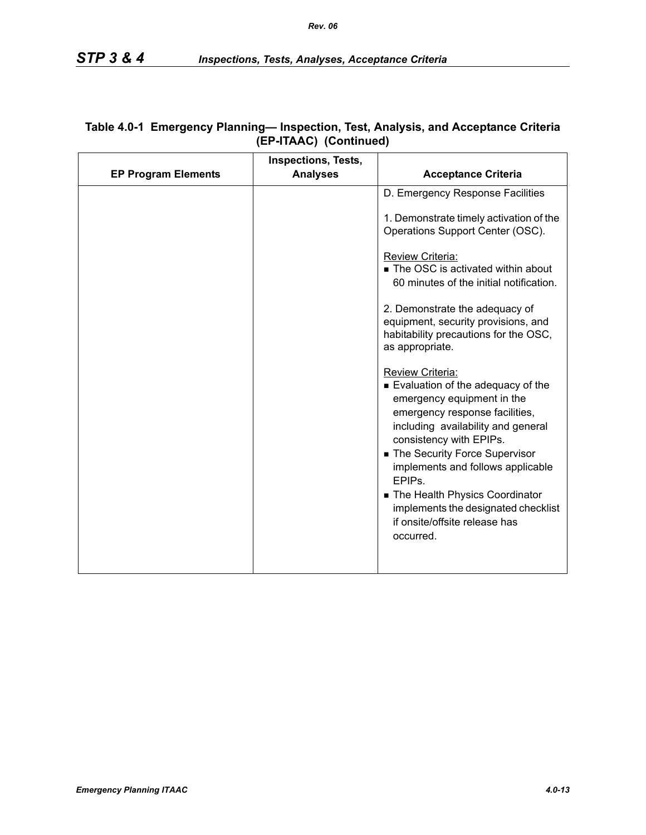|                            | <b>Inspections, Tests,</b> |                                                                                                                                                                                                                                                                                                                                                                                                            |
|----------------------------|----------------------------|------------------------------------------------------------------------------------------------------------------------------------------------------------------------------------------------------------------------------------------------------------------------------------------------------------------------------------------------------------------------------------------------------------|
| <b>EP Program Elements</b> | <b>Analyses</b>            | <b>Acceptance Criteria</b>                                                                                                                                                                                                                                                                                                                                                                                 |
|                            |                            | D. Emergency Response Facilities                                                                                                                                                                                                                                                                                                                                                                           |
|                            |                            | 1. Demonstrate timely activation of the<br>Operations Support Center (OSC).                                                                                                                                                                                                                                                                                                                                |
|                            |                            | Review Criteria:<br>The OSC is activated within about<br>60 minutes of the initial notification.                                                                                                                                                                                                                                                                                                           |
|                            |                            | 2. Demonstrate the adequacy of<br>equipment, security provisions, and<br>habitability precautions for the OSC,<br>as appropriate.                                                                                                                                                                                                                                                                          |
|                            |                            | Review Criteria:<br>Evaluation of the adequacy of the<br>emergency equipment in the<br>emergency response facilities,<br>including availability and general<br>consistency with EPIPs.<br>■ The Security Force Supervisor<br>implements and follows applicable<br>EPIP <sub>S</sub><br>The Health Physics Coordinator<br>implements the designated checklist<br>if onsite/offsite release has<br>occurred. |
|                            |                            |                                                                                                                                                                                                                                                                                                                                                                                                            |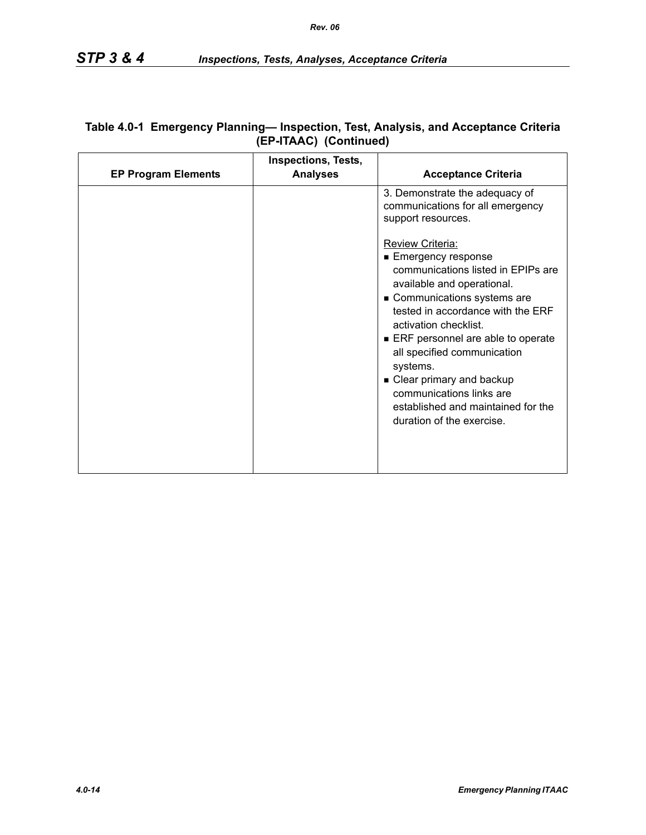| <b>EP Program Elements</b> | <b>Inspections, Tests,</b><br><b>Analyses</b> | <b>Acceptance Criteria</b>                                                                                                                                                                                                                                                                                                                                                                                                   |
|----------------------------|-----------------------------------------------|------------------------------------------------------------------------------------------------------------------------------------------------------------------------------------------------------------------------------------------------------------------------------------------------------------------------------------------------------------------------------------------------------------------------------|
|                            |                                               | 3. Demonstrate the adequacy of<br>communications for all emergency<br>support resources.                                                                                                                                                                                                                                                                                                                                     |
|                            |                                               | <b>Review Criteria:</b><br>■ Emergency response<br>communications listed in EPIPs are<br>available and operational.<br>Communications systems are<br>tested in accordance with the ERF<br>activation checklist.<br>ERF personnel are able to operate<br>all specified communication<br>systems.<br>• Clear primary and backup<br>communications links are<br>established and maintained for the<br>duration of the exercise. |
|                            |                                               |                                                                                                                                                                                                                                                                                                                                                                                                                              |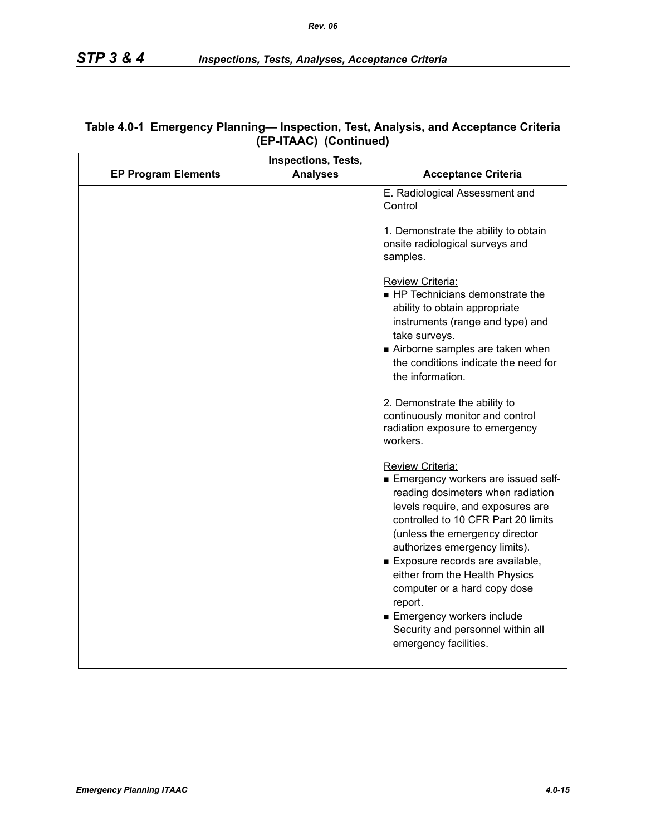|                            | Inspections, Tests, |                                                                                                                                                                                                                                                                                                                                                                                                                                                       |
|----------------------------|---------------------|-------------------------------------------------------------------------------------------------------------------------------------------------------------------------------------------------------------------------------------------------------------------------------------------------------------------------------------------------------------------------------------------------------------------------------------------------------|
| <b>EP Program Elements</b> | <b>Analyses</b>     | <b>Acceptance Criteria</b>                                                                                                                                                                                                                                                                                                                                                                                                                            |
|                            |                     | E. Radiological Assessment and<br>Control                                                                                                                                                                                                                                                                                                                                                                                                             |
|                            |                     | 1. Demonstrate the ability to obtain<br>onsite radiological surveys and<br>samples.                                                                                                                                                                                                                                                                                                                                                                   |
|                            |                     | Review Criteria:<br>HP Technicians demonstrate the<br>ability to obtain appropriate<br>instruments (range and type) and<br>take surveys.<br>Airborne samples are taken when<br>the conditions indicate the need for<br>the information.                                                                                                                                                                                                               |
|                            |                     | 2. Demonstrate the ability to<br>continuously monitor and control<br>radiation exposure to emergency<br>workers.                                                                                                                                                                                                                                                                                                                                      |
|                            |                     | Review Criteria:<br>Emergency workers are issued self-<br>reading dosimeters when radiation<br>levels require, and exposures are<br>controlled to 10 CFR Part 20 limits<br>(unless the emergency director<br>authorizes emergency limits).<br>Exposure records are available,<br>either from the Health Physics<br>computer or a hard copy dose<br>report.<br>Emergency workers include<br>Security and personnel within all<br>emergency facilities. |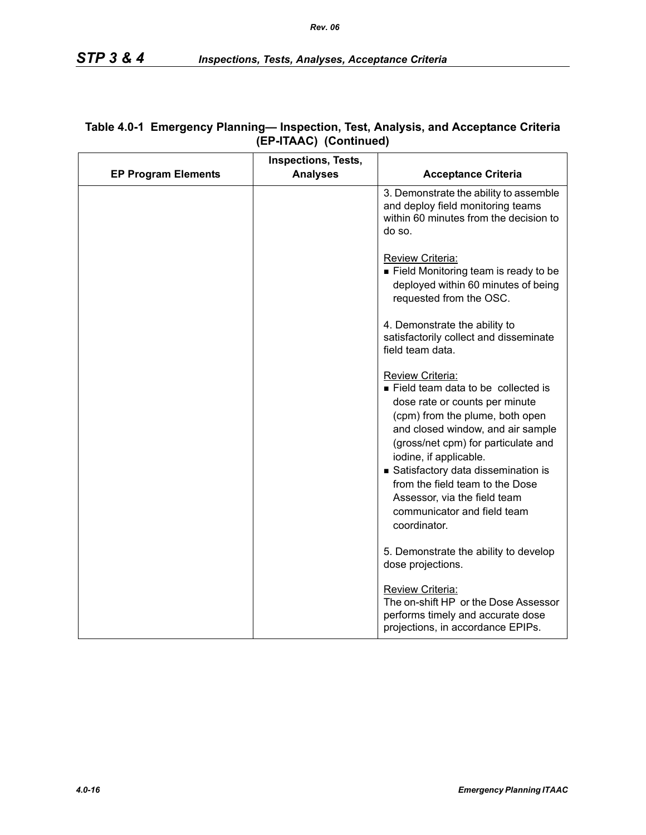|                            | <b>Inspections, Tests,</b> |                                                                                                                                                                                                                                                                                                                                                                                           |
|----------------------------|----------------------------|-------------------------------------------------------------------------------------------------------------------------------------------------------------------------------------------------------------------------------------------------------------------------------------------------------------------------------------------------------------------------------------------|
| <b>EP Program Elements</b> | <b>Analyses</b>            | <b>Acceptance Criteria</b>                                                                                                                                                                                                                                                                                                                                                                |
|                            |                            | 3. Demonstrate the ability to assemble<br>and deploy field monitoring teams<br>within 60 minutes from the decision to<br>do so.                                                                                                                                                                                                                                                           |
|                            |                            | Review Criteria:<br>■ Field Monitoring team is ready to be<br>deployed within 60 minutes of being<br>requested from the OSC.                                                                                                                                                                                                                                                              |
|                            |                            | 4. Demonstrate the ability to<br>satisfactorily collect and disseminate<br>field team data.                                                                                                                                                                                                                                                                                               |
|                            |                            | Review Criteria:<br>Field team data to be collected is<br>dose rate or counts per minute<br>(cpm) from the plume, both open<br>and closed window, and air sample<br>(gross/net cpm) for particulate and<br>iodine, if applicable.<br>Satisfactory data dissemination is<br>from the field team to the Dose<br>Assessor, via the field team<br>communicator and field team<br>coordinator. |
|                            |                            | 5. Demonstrate the ability to develop<br>dose projections.                                                                                                                                                                                                                                                                                                                                |
|                            |                            | Review Criteria:<br>The on-shift HP or the Dose Assessor<br>performs timely and accurate dose<br>projections, in accordance EPIPs.                                                                                                                                                                                                                                                        |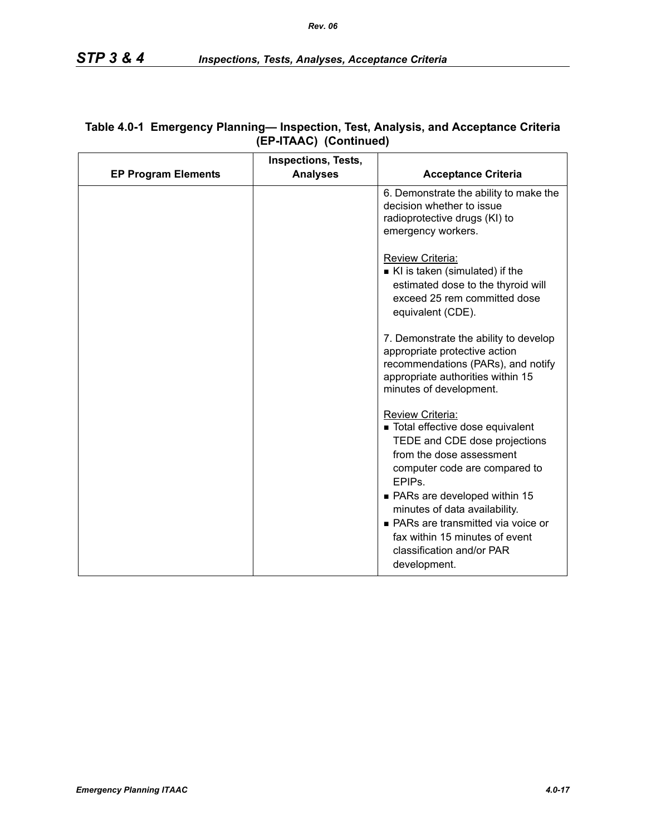|                            | <b>Inspections, Tests,</b> |                                                                                                                                                                                                                                                                                                                                                                   |
|----------------------------|----------------------------|-------------------------------------------------------------------------------------------------------------------------------------------------------------------------------------------------------------------------------------------------------------------------------------------------------------------------------------------------------------------|
| <b>EP Program Elements</b> | <b>Analyses</b>            | <b>Acceptance Criteria</b>                                                                                                                                                                                                                                                                                                                                        |
|                            |                            | 6. Demonstrate the ability to make the<br>decision whether to issue<br>radioprotective drugs (KI) to<br>emergency workers.                                                                                                                                                                                                                                        |
|                            |                            | Review Criteria:<br>KI is taken (simulated) if the<br>estimated dose to the thyroid will<br>exceed 25 rem committed dose<br>equivalent (CDE).                                                                                                                                                                                                                     |
|                            |                            | 7. Demonstrate the ability to develop<br>appropriate protective action<br>recommendations (PARs), and notify<br>appropriate authorities within 15<br>minutes of development.                                                                                                                                                                                      |
|                            |                            | Review Criteria:<br>Total effective dose equivalent<br>TEDE and CDE dose projections<br>from the dose assessment<br>computer code are compared to<br>EPIP <sub>s</sub> .<br>• PARs are developed within 15<br>minutes of data availability.<br>• PARs are transmitted via voice or<br>fax within 15 minutes of event<br>classification and/or PAR<br>development. |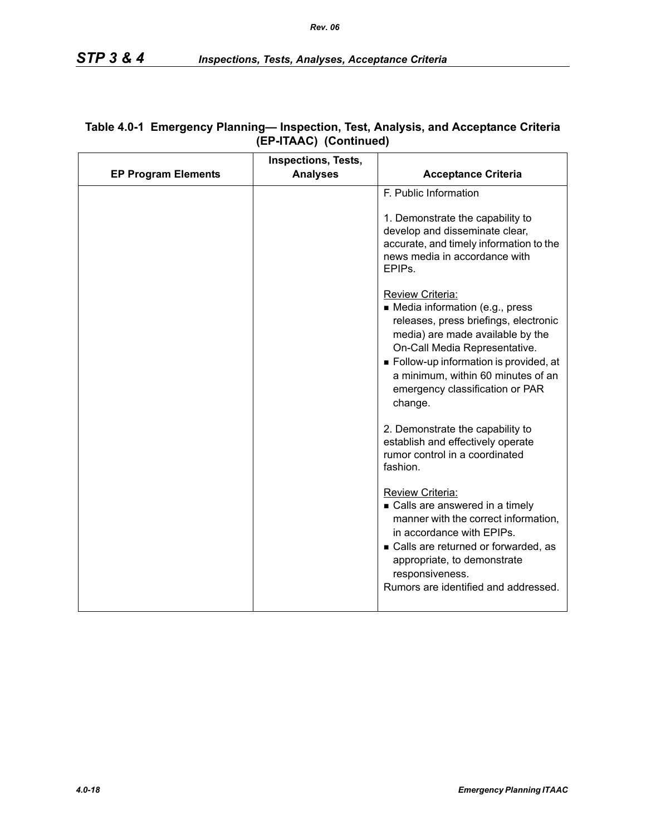|                            | <b>Inspections, Tests,</b> |                                                                                                                                                                                                                                                                                                 |
|----------------------------|----------------------------|-------------------------------------------------------------------------------------------------------------------------------------------------------------------------------------------------------------------------------------------------------------------------------------------------|
| <b>EP Program Elements</b> | <b>Analyses</b>            | <b>Acceptance Criteria</b>                                                                                                                                                                                                                                                                      |
|                            |                            | F. Public Information<br>1. Demonstrate the capability to<br>develop and disseminate clear,<br>accurate, and timely information to the<br>news media in accordance with<br>EPIPs.                                                                                                               |
|                            |                            | Review Criteria:<br>• Media information (e.g., press<br>releases, press briefings, electronic<br>media) are made available by the<br>On-Call Media Representative.<br>Follow-up information is provided, at<br>a minimum, within 60 minutes of an<br>emergency classification or PAR<br>change. |
|                            |                            | 2. Demonstrate the capability to<br>establish and effectively operate<br>rumor control in a coordinated<br>fashion.                                                                                                                                                                             |
|                            |                            | Review Criteria:<br>• Calls are answered in a timely<br>manner with the correct information,<br>in accordance with EPIPs.<br>• Calls are returned or forwarded, as<br>appropriate, to demonstrate<br>responsiveness.<br>Rumors are identified and addressed.                                    |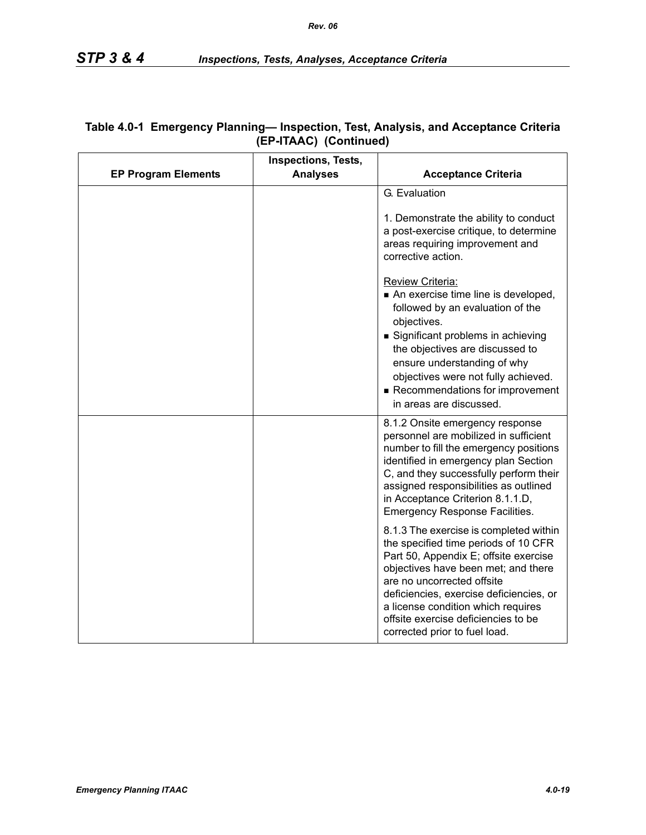|                            | Inspections, Tests, |                                                                                                                                                                                                                                                                                                                                                                                                                                                                                                                                                                                                                                                                                                                |
|----------------------------|---------------------|----------------------------------------------------------------------------------------------------------------------------------------------------------------------------------------------------------------------------------------------------------------------------------------------------------------------------------------------------------------------------------------------------------------------------------------------------------------------------------------------------------------------------------------------------------------------------------------------------------------------------------------------------------------------------------------------------------------|
| <b>EP Program Elements</b> | <b>Analyses</b>     | <b>Acceptance Criteria</b>                                                                                                                                                                                                                                                                                                                                                                                                                                                                                                                                                                                                                                                                                     |
|                            |                     | G. Evaluation<br>1. Demonstrate the ability to conduct<br>a post-exercise critique, to determine<br>areas requiring improvement and<br>corrective action.<br>Review Criteria:<br>An exercise time line is developed,<br>followed by an evaluation of the<br>objectives.<br>Significant problems in achieving<br>the objectives are discussed to<br>ensure understanding of why<br>objectives were not fully achieved.<br>Recommendations for improvement                                                                                                                                                                                                                                                       |
|                            |                     | in areas are discussed.<br>8.1.2 Onsite emergency response<br>personnel are mobilized in sufficient<br>number to fill the emergency positions<br>identified in emergency plan Section<br>C, and they successfully perform their<br>assigned responsibilities as outlined<br>in Acceptance Criterion 8.1.1.D,<br><b>Emergency Response Facilities.</b><br>8.1.3 The exercise is completed within<br>the specified time periods of 10 CFR<br>Part 50, Appendix E; offsite exercise<br>objectives have been met; and there<br>are no uncorrected offsite<br>deficiencies, exercise deficiencies, or<br>a license condition which requires<br>offsite exercise deficiencies to be<br>corrected prior to fuel load. |